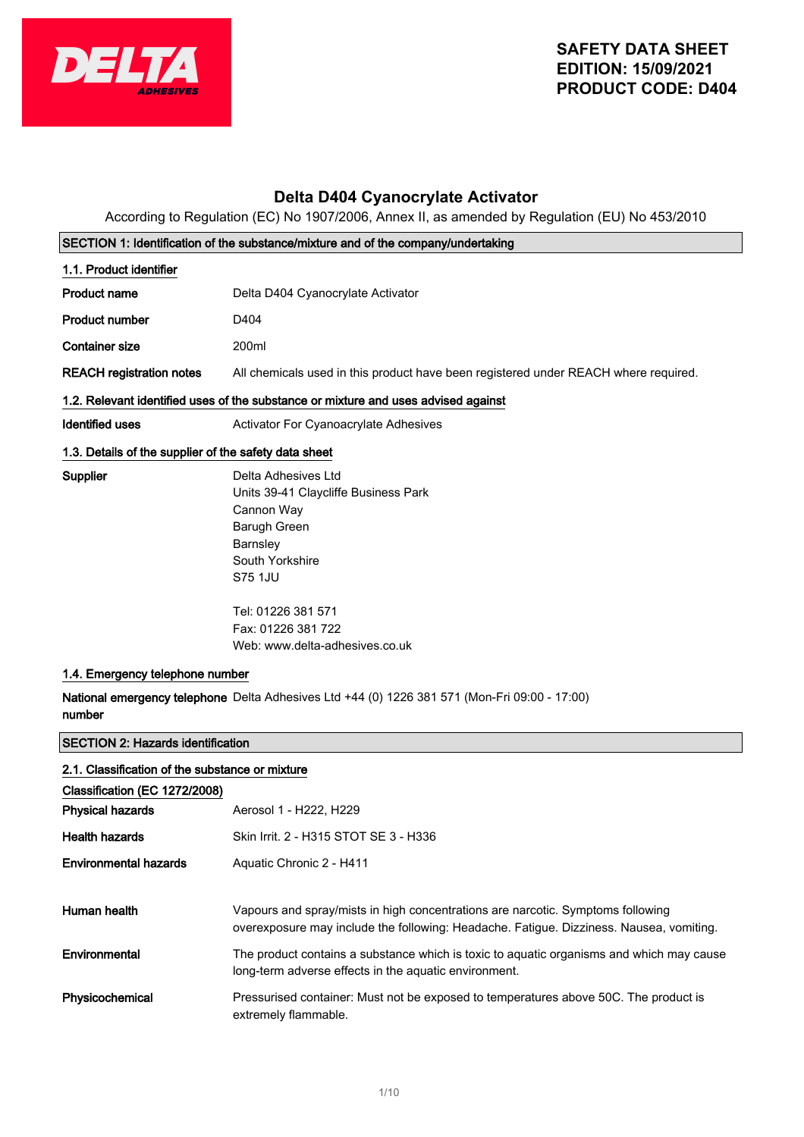

# **Delta D404 Cyanocrylate Activator**

According to Regulation (EC) No 1907/2006, Annex II, as amended by Regulation (EU) No 453/2010

|                                                                                  | SECTION 1: Identification of the substance/mixture and of the company/undertaking                                                                                                                                                                                                                                  |  |
|----------------------------------------------------------------------------------|--------------------------------------------------------------------------------------------------------------------------------------------------------------------------------------------------------------------------------------------------------------------------------------------------------------------|--|
| 1.1. Product identifier                                                          |                                                                                                                                                                                                                                                                                                                    |  |
| Product name                                                                     | Delta D404 Cyanocrylate Activator                                                                                                                                                                                                                                                                                  |  |
| <b>Product number</b>                                                            | D404                                                                                                                                                                                                                                                                                                               |  |
| <b>Container size</b>                                                            | 200ml                                                                                                                                                                                                                                                                                                              |  |
| <b>REACH registration notes</b>                                                  | All chemicals used in this product have been registered under REACH where required.                                                                                                                                                                                                                                |  |
|                                                                                  | 1.2. Relevant identified uses of the substance or mixture and uses advised against                                                                                                                                                                                                                                 |  |
| <b>Identified uses</b>                                                           | <b>Activator For Cyanoacrylate Adhesives</b>                                                                                                                                                                                                                                                                       |  |
| 1.3. Details of the supplier of the safety data sheet                            |                                                                                                                                                                                                                                                                                                                    |  |
| <b>Supplier</b><br>1.4. Emergency telephone number<br>number                     | Delta Adhesives Ltd<br>Units 39-41 Claycliffe Business Park<br>Cannon Way<br>Barugh Green<br>Barnsley<br>South Yorkshire<br>S75 1JU<br>Tel: 01226 381 571<br>Fax: 01226 381 722<br>Web: www.delta-adhesives.co.uk<br>National emergency telephone Delta Adhesives Ltd +44 (0) 1226 381 571 (Mon-Fri 09:00 - 17:00) |  |
| <b>SECTION 2: Hazards identification</b>                                         |                                                                                                                                                                                                                                                                                                                    |  |
| 2.1. Classification of the substance or mixture<br>Classification (EC 1272/2008) |                                                                                                                                                                                                                                                                                                                    |  |
| <b>Physical hazards</b>                                                          | Aerosol 1 - H222, H229                                                                                                                                                                                                                                                                                             |  |
| <b>Health hazards</b>                                                            | Skin Irrit. 2 - H315 STOT SE 3 - H336                                                                                                                                                                                                                                                                              |  |
| <b>Environmental hazards</b>                                                     | Aquatic Chronic 2 - H411                                                                                                                                                                                                                                                                                           |  |

| Human health    | Vapours and spray/mists in high concentrations are narcotic. Symptoms following<br>overexposure may include the following: Headache. Fatigue. Dizziness. Nausea, vomiting. |
|-----------------|----------------------------------------------------------------------------------------------------------------------------------------------------------------------------|
| Environmental   | The product contains a substance which is toxic to aquatic organisms and which may cause<br>long-term adverse effects in the aquatic environment.                          |
| Physicochemical | Pressurised container: Must not be exposed to temperatures above 50C. The product is<br>extremely flammable.                                                               |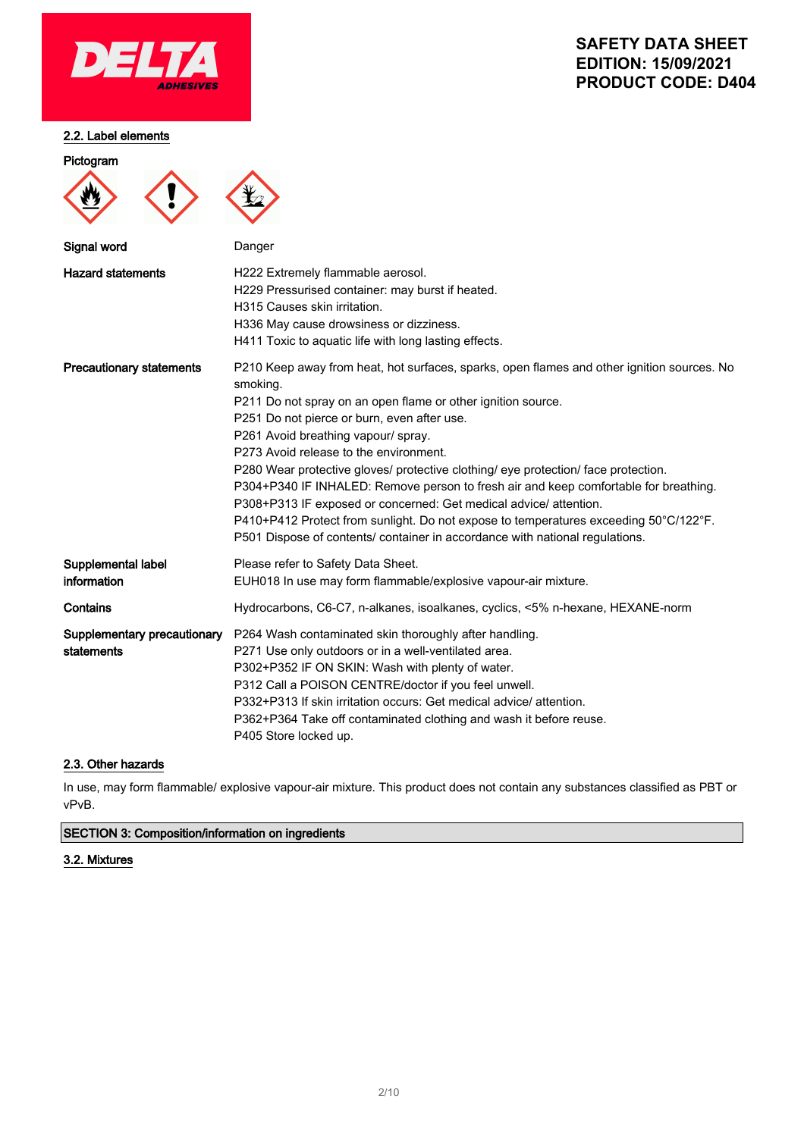

### 2.2. Label elements

Pictogram

# **SAFETY DATA SHEET EDITION: 15/09/2021 PRODUCT CODE: D404**

| Signal word                               | Danger                                                                                                                                                                                                                                                                                                                                                                                                                                                                                                                                                                                                                                                                                                                            |
|-------------------------------------------|-----------------------------------------------------------------------------------------------------------------------------------------------------------------------------------------------------------------------------------------------------------------------------------------------------------------------------------------------------------------------------------------------------------------------------------------------------------------------------------------------------------------------------------------------------------------------------------------------------------------------------------------------------------------------------------------------------------------------------------|
| <b>Hazard statements</b>                  | H222 Extremely flammable aerosol.<br>H229 Pressurised container: may burst if heated.<br>H315 Causes skin irritation.<br>H336 May cause drowsiness or dizziness.<br>H411 Toxic to aquatic life with long lasting effects.                                                                                                                                                                                                                                                                                                                                                                                                                                                                                                         |
| <b>Precautionary statements</b>           | P210 Keep away from heat, hot surfaces, sparks, open flames and other ignition sources. No<br>smoking.<br>P211 Do not spray on an open flame or other ignition source.<br>P251 Do not pierce or burn, even after use.<br>P261 Avoid breathing vapour/ spray.<br>P273 Avoid release to the environment.<br>P280 Wear protective gloves/ protective clothing/ eye protection/ face protection.<br>P304+P340 IF INHALED: Remove person to fresh air and keep comfortable for breathing.<br>P308+P313 IF exposed or concerned: Get medical advice/ attention.<br>P410+P412 Protect from sunlight. Do not expose to temperatures exceeding 50°C/122°F.<br>P501 Dispose of contents/ container in accordance with national regulations. |
| Supplemental label<br>information         | Please refer to Safety Data Sheet.<br>EUH018 In use may form flammable/explosive vapour-air mixture.                                                                                                                                                                                                                                                                                                                                                                                                                                                                                                                                                                                                                              |
| Contains                                  | Hydrocarbons, C6-C7, n-alkanes, isoalkanes, cyclics, <5% n-hexane, HEXANE-norm                                                                                                                                                                                                                                                                                                                                                                                                                                                                                                                                                                                                                                                    |
| Supplementary precautionary<br>statements | P264 Wash contaminated skin thoroughly after handling.<br>P271 Use only outdoors or in a well-ventilated area.<br>P302+P352 IF ON SKIN: Wash with plenty of water.<br>P312 Call a POISON CENTRE/doctor if you feel unwell.<br>P332+P313 If skin irritation occurs: Get medical advice/attention.<br>P362+P364 Take off contaminated clothing and wash it before reuse.<br>P405 Store locked up.                                                                                                                                                                                                                                                                                                                                   |

### 2.3. Other hazards

In use, may form flammable/ explosive vapour-air mixture. This product does not contain any substances classified as PBT or vPvB.

### SECTION 3: Composition/information on ingredients

### 3.2. Mixtures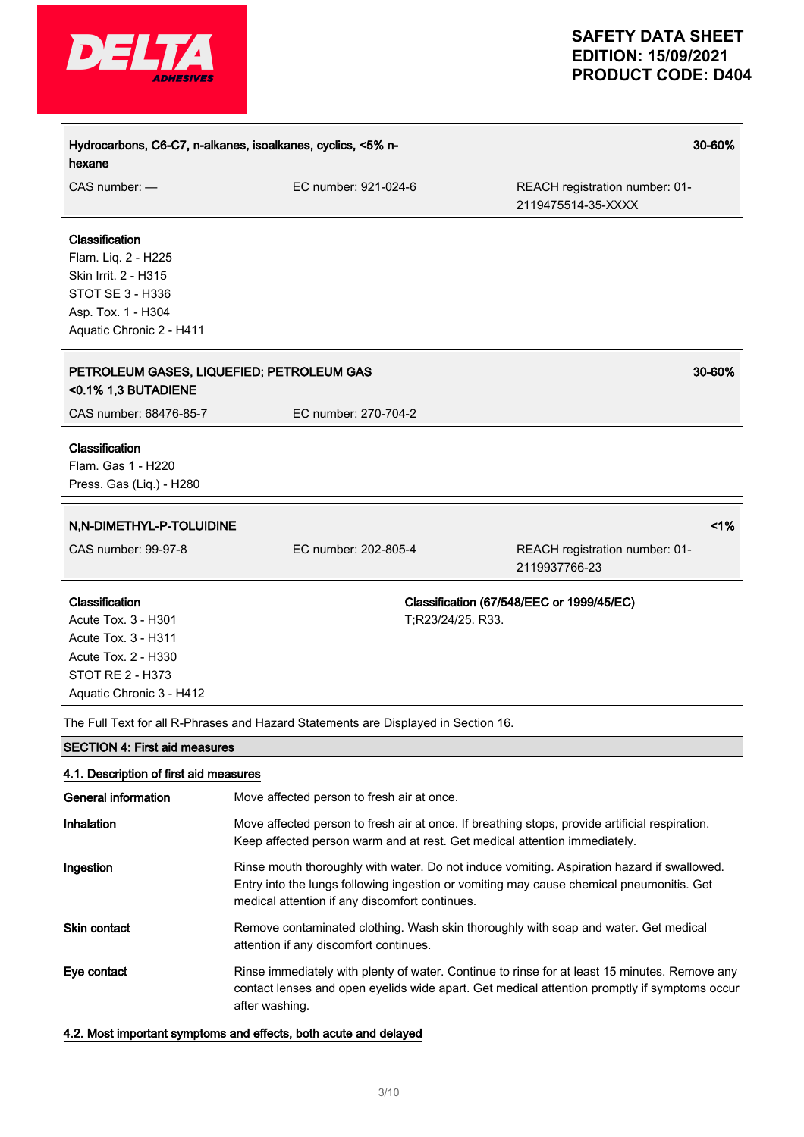

|                      | 30-60%                                                                                                   |
|----------------------|----------------------------------------------------------------------------------------------------------|
| EC number: 921-024-6 | REACH registration number: 01-<br>2119475514-35-XXXX                                                     |
|                      |                                                                                                          |
|                      | 30-60%                                                                                                   |
| EC number: 270-704-2 |                                                                                                          |
|                      |                                                                                                          |
|                      | 1%                                                                                                       |
| EC number: 202-805-4 | REACH registration number: 01-<br>2119937766-23                                                          |
| T;R23/24/25. R33.    | Classification (67/548/EEC or 1999/45/EC)                                                                |
|                      | Hydrocarbons, C6-C7, n-alkanes, isoalkanes, cyclics, <5% n-<br>PETROLEUM GASES, LIQUEFIED; PETROLEUM GAS |

The Full Text for all R-Phrases and Hazard Statements are Displayed in Section 16.

## SECTION 4: First aid measures

### 4.1. Description of first aid measures

| General information | Move affected person to fresh air at once.                                                                                                                                                                                               |
|---------------------|------------------------------------------------------------------------------------------------------------------------------------------------------------------------------------------------------------------------------------------|
| Inhalation          | Move affected person to fresh air at once. If breathing stops, provide artificial respiration.<br>Keep affected person warm and at rest. Get medical attention immediately.                                                              |
| Ingestion           | Rinse mouth thoroughly with water. Do not induce vomiting. Aspiration hazard if swallowed.<br>Entry into the lungs following ingestion or vomiting may cause chemical pneumonitis. Get<br>medical attention if any discomfort continues. |
| <b>Skin contact</b> | Remove contaminated clothing. Wash skin thoroughly with soap and water. Get medical<br>attention if any discomfort continues.                                                                                                            |
| Eye contact         | Rinse immediately with plenty of water. Continue to rinse for at least 15 minutes. Remove any<br>contact lenses and open eyelids wide apart. Get medical attention promptly if symptoms occur<br>after washing.                          |

4.2. Most important symptoms and effects, both acute and delayed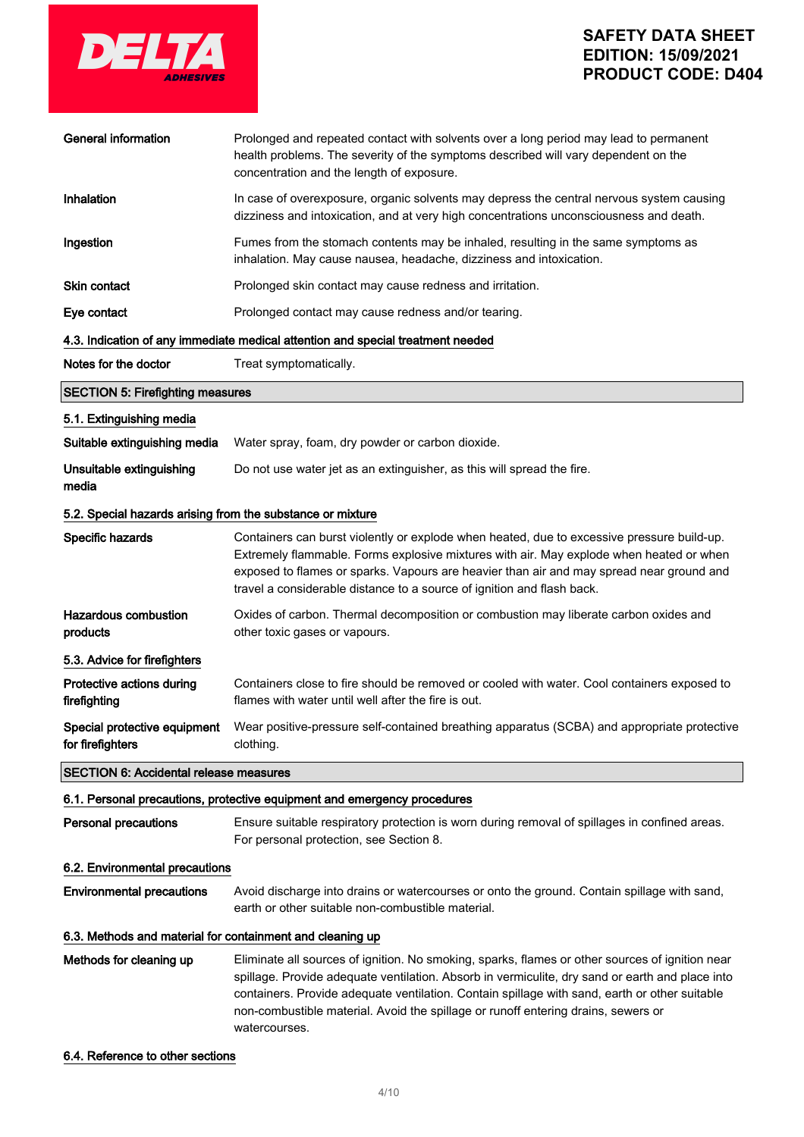

| <b>General information</b>                                 | Prolonged and repeated contact with solvents over a long period may lead to permanent<br>health problems. The severity of the symptoms described will vary dependent on the<br>concentration and the length of exposure.                                                                                                                                                                                  |  |  |
|------------------------------------------------------------|-----------------------------------------------------------------------------------------------------------------------------------------------------------------------------------------------------------------------------------------------------------------------------------------------------------------------------------------------------------------------------------------------------------|--|--|
| Inhalation                                                 | In case of overexposure, organic solvents may depress the central nervous system causing<br>dizziness and intoxication, and at very high concentrations unconsciousness and death.                                                                                                                                                                                                                        |  |  |
| Ingestion                                                  | Fumes from the stomach contents may be inhaled, resulting in the same symptoms as<br>inhalation. May cause nausea, headache, dizziness and intoxication.                                                                                                                                                                                                                                                  |  |  |
| <b>Skin contact</b>                                        | Prolonged skin contact may cause redness and irritation.                                                                                                                                                                                                                                                                                                                                                  |  |  |
| Eye contact                                                | Prolonged contact may cause redness and/or tearing.                                                                                                                                                                                                                                                                                                                                                       |  |  |
|                                                            | 4.3. Indication of any immediate medical attention and special treatment needed                                                                                                                                                                                                                                                                                                                           |  |  |
| Notes for the doctor                                       | Treat symptomatically.                                                                                                                                                                                                                                                                                                                                                                                    |  |  |
| <b>SECTION 5: Firefighting measures</b>                    |                                                                                                                                                                                                                                                                                                                                                                                                           |  |  |
| 5.1. Extinguishing media                                   |                                                                                                                                                                                                                                                                                                                                                                                                           |  |  |
| Suitable extinguishing media                               | Water spray, foam, dry powder or carbon dioxide.                                                                                                                                                                                                                                                                                                                                                          |  |  |
| Unsuitable extinguishing<br>media                          | Do not use water jet as an extinguisher, as this will spread the fire.                                                                                                                                                                                                                                                                                                                                    |  |  |
| 5.2. Special hazards arising from the substance or mixture |                                                                                                                                                                                                                                                                                                                                                                                                           |  |  |
| Specific hazards                                           | Containers can burst violently or explode when heated, due to excessive pressure build-up.<br>Extremely flammable. Forms explosive mixtures with air. May explode when heated or when<br>exposed to flames or sparks. Vapours are heavier than air and may spread near ground and<br>travel a considerable distance to a source of ignition and flash back.                                               |  |  |
| <b>Hazardous combustion</b><br>products                    | Oxides of carbon. Thermal decomposition or combustion may liberate carbon oxides and<br>other toxic gases or vapours.                                                                                                                                                                                                                                                                                     |  |  |
| 5.3. Advice for firefighters                               |                                                                                                                                                                                                                                                                                                                                                                                                           |  |  |
| Protective actions during<br>firefighting                  | Containers close to fire should be removed or cooled with water. Cool containers exposed to<br>flames with water until well after the fire is out.                                                                                                                                                                                                                                                        |  |  |
| Special protective equipment<br>for firefighters           | Wear positive-pressure self-contained breathing apparatus (SCBA) and appropriate protective<br>clothing.                                                                                                                                                                                                                                                                                                  |  |  |
| <b>SECTION 6: Accidental release measures</b>              |                                                                                                                                                                                                                                                                                                                                                                                                           |  |  |
|                                                            | 6.1. Personal precautions, protective equipment and emergency procedures                                                                                                                                                                                                                                                                                                                                  |  |  |
| <b>Personal precautions</b>                                | Ensure suitable respiratory protection is worn during removal of spillages in confined areas.<br>For personal protection, see Section 8.                                                                                                                                                                                                                                                                  |  |  |
|                                                            | 6.2. Environmental precautions                                                                                                                                                                                                                                                                                                                                                                            |  |  |
| <b>Environmental precautions</b>                           | Avoid discharge into drains or watercourses or onto the ground. Contain spillage with sand,<br>earth or other suitable non-combustible material.                                                                                                                                                                                                                                                          |  |  |
| 6.3. Methods and material for containment and cleaning up  |                                                                                                                                                                                                                                                                                                                                                                                                           |  |  |
| Methods for cleaning up                                    | Eliminate all sources of ignition. No smoking, sparks, flames or other sources of ignition near<br>spillage. Provide adequate ventilation. Absorb in vermiculite, dry sand or earth and place into<br>containers. Provide adequate ventilation. Contain spillage with sand, earth or other suitable<br>non-combustible material. Avoid the spillage or runoff entering drains, sewers or<br>watercourses. |  |  |

### 6.4. Reference to other sections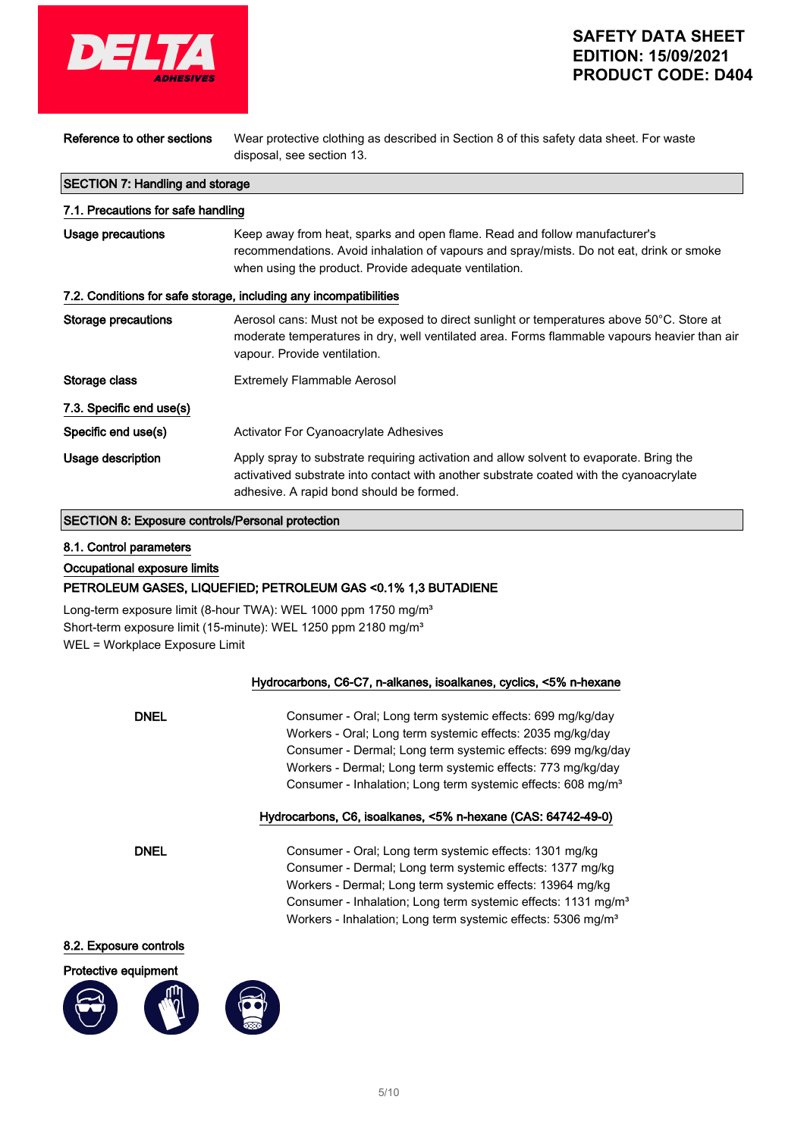

| Reference to other sections                                       | Wear protective clothing as described in Section 8 of this safety data sheet. For waste<br>disposal, see section 13.                                                                                                            |  |
|-------------------------------------------------------------------|---------------------------------------------------------------------------------------------------------------------------------------------------------------------------------------------------------------------------------|--|
| <b>SECTION 7: Handling and storage</b>                            |                                                                                                                                                                                                                                 |  |
| 7.1. Precautions for safe handling                                |                                                                                                                                                                                                                                 |  |
| Usage precautions                                                 | Keep away from heat, sparks and open flame. Read and follow manufacturer's<br>recommendations. Avoid inhalation of vapours and spray/mists. Do not eat, drink or smoke<br>when using the product. Provide adequate ventilation. |  |
| 7.2. Conditions for safe storage, including any incompatibilities |                                                                                                                                                                                                                                 |  |
| Storage precautions                                               | Aerosol cans: Must not be exposed to direct sunlight or temperatures above 50°C. Store at<br>moderate temperatures in dry, well ventilated area. Forms flammable vapours heavier than air<br>vapour. Provide ventilation.       |  |
| Storage class                                                     | <b>Extremely Flammable Aerosol</b>                                                                                                                                                                                              |  |
| 7.3. Specific end use(s)                                          |                                                                                                                                                                                                                                 |  |
| Specific end use(s)                                               | <b>Activator For Cyanoacrylate Adhesives</b>                                                                                                                                                                                    |  |
| Usage description                                                 | Apply spray to substrate requiring activation and allow solvent to evaporate. Bring the<br>activatived substrate into contact with another substrate coated with the cyanoacrylate<br>adhesive. A rapid bond should be formed.  |  |

### SECTION 8: Exposure controls/Personal protection

#### 8.1. Control parameters

Occupational exposure limits

#### PETROLEUM GASES, LIQUEFIED; PETROLEUM GAS <0.1% 1,3 BUTADIENE

Long-term exposure limit (8-hour TWA): WEL 1000 ppm 1750 mg/m<sup>3</sup> Short-term exposure limit (15-minute): WEL 1250 ppm 2180 mg/m<sup>3</sup> WEL = Workplace Exposure Limit

### Hydrocarbons, C6-C7, n-alkanes, isoalkanes, cyclics, <5% n-hexane

| <b>DNEL</b> | Consumer - Oral; Long term systemic effects: 699 mg/kg/day               |
|-------------|--------------------------------------------------------------------------|
|             | Workers - Oral; Long term systemic effects: 2035 mg/kg/day               |
|             | Consumer - Dermal; Long term systemic effects: 699 mg/kg/day             |
|             | Workers - Dermal; Long term systemic effects: 773 mg/kg/day              |
|             | Consumer - Inhalation; Long term systemic effects: 608 mg/m <sup>3</sup> |
|             |                                                                          |

### Hydrocarbons, C6, isoalkanes, <5% n-hexane (CAS: 64742-49-0)

DNEL Consumer - Oral; Long term systemic effects: 1301 mg/kg Consumer - Dermal; Long term systemic effects: 1377 mg/kg Workers - Dermal; Long term systemic effects: 13964 mg/kg Consumer - Inhalation; Long term systemic effects: 1131 mg/m<sup>3</sup> Workers - Inhalation; Long term systemic effects: 5306 mg/m<sup>3</sup>

### 8.2. Exposure controls



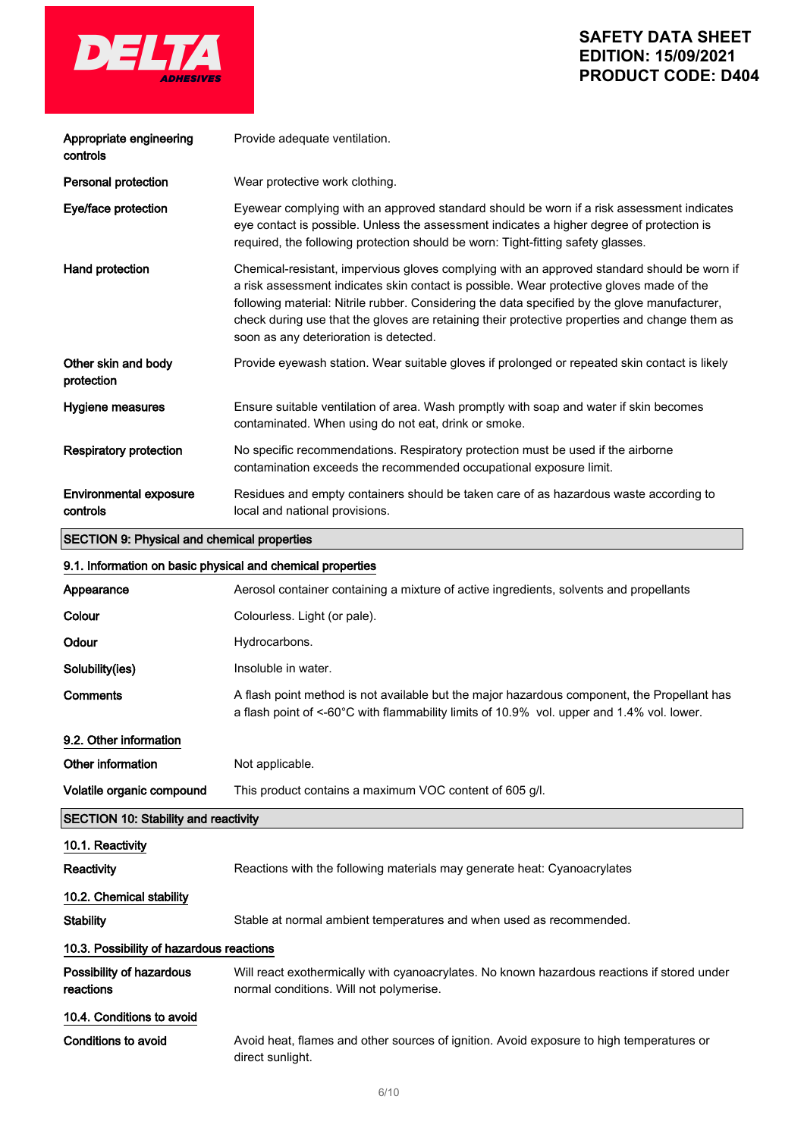

| Appropriate engineering<br>controls                        | Provide adequate ventilation.                                                                                                                                                                                                                                                                                                                                                                                                       |  |
|------------------------------------------------------------|-------------------------------------------------------------------------------------------------------------------------------------------------------------------------------------------------------------------------------------------------------------------------------------------------------------------------------------------------------------------------------------------------------------------------------------|--|
| <b>Personal protection</b>                                 | Wear protective work clothing.                                                                                                                                                                                                                                                                                                                                                                                                      |  |
| Eye/face protection                                        | Eyewear complying with an approved standard should be worn if a risk assessment indicates<br>eye contact is possible. Unless the assessment indicates a higher degree of protection is<br>required, the following protection should be worn: Tight-fitting safety glasses.                                                                                                                                                          |  |
| Hand protection                                            | Chemical-resistant, impervious gloves complying with an approved standard should be worn if<br>a risk assessment indicates skin contact is possible. Wear protective gloves made of the<br>following material: Nitrile rubber. Considering the data specified by the glove manufacturer,<br>check during use that the gloves are retaining their protective properties and change them as<br>soon as any deterioration is detected. |  |
| Other skin and body<br>protection                          | Provide eyewash station. Wear suitable gloves if prolonged or repeated skin contact is likely                                                                                                                                                                                                                                                                                                                                       |  |
| Hygiene measures                                           | Ensure suitable ventilation of area. Wash promptly with soap and water if skin becomes<br>contaminated. When using do not eat, drink or smoke.                                                                                                                                                                                                                                                                                      |  |
| <b>Respiratory protection</b>                              | No specific recommendations. Respiratory protection must be used if the airborne<br>contamination exceeds the recommended occupational exposure limit.                                                                                                                                                                                                                                                                              |  |
| <b>Environmental exposure</b><br>controls                  | Residues and empty containers should be taken care of as hazardous waste according to<br>local and national provisions.                                                                                                                                                                                                                                                                                                             |  |
| <b>SECTION 9: Physical and chemical properties</b>         |                                                                                                                                                                                                                                                                                                                                                                                                                                     |  |
| 9.1. Information on basic physical and chemical properties |                                                                                                                                                                                                                                                                                                                                                                                                                                     |  |
| Appearance                                                 | Aerosol container containing a mixture of active ingredients, solvents and propellants                                                                                                                                                                                                                                                                                                                                              |  |
| Colour                                                     | Colourless. Light (or pale).                                                                                                                                                                                                                                                                                                                                                                                                        |  |
| Odour                                                      | Hydrocarbons.                                                                                                                                                                                                                                                                                                                                                                                                                       |  |
| Solubility(ies)                                            | Insoluble in water.                                                                                                                                                                                                                                                                                                                                                                                                                 |  |
|                                                            |                                                                                                                                                                                                                                                                                                                                                                                                                                     |  |

Comments A flash point method is not available but the major hazardous component, the Propellant has a flash point of <-60°C with flammability limits of 10.9% vol. upper and 1.4% vol. lower.

9.2. Other information Other information Not applicable. Volatile organic compound This product contains a maximum VOC content of 605 g/l.

SECTION 10: Stability and reactivity

10.1. Reactivity Reactivity **Reactions** With the following materials may generate heat: Cyanoacrylates 10.2. Chemical stability Stability Stable at normal ambient temperatures and when used as recommended. 10.3. Possibility of hazardous reactions Possibility of hazardous reactions Will react exothermically with cyanoacrylates. No known hazardous reactions if stored under normal conditions. Will not polymerise. 10.4. Conditions to avoid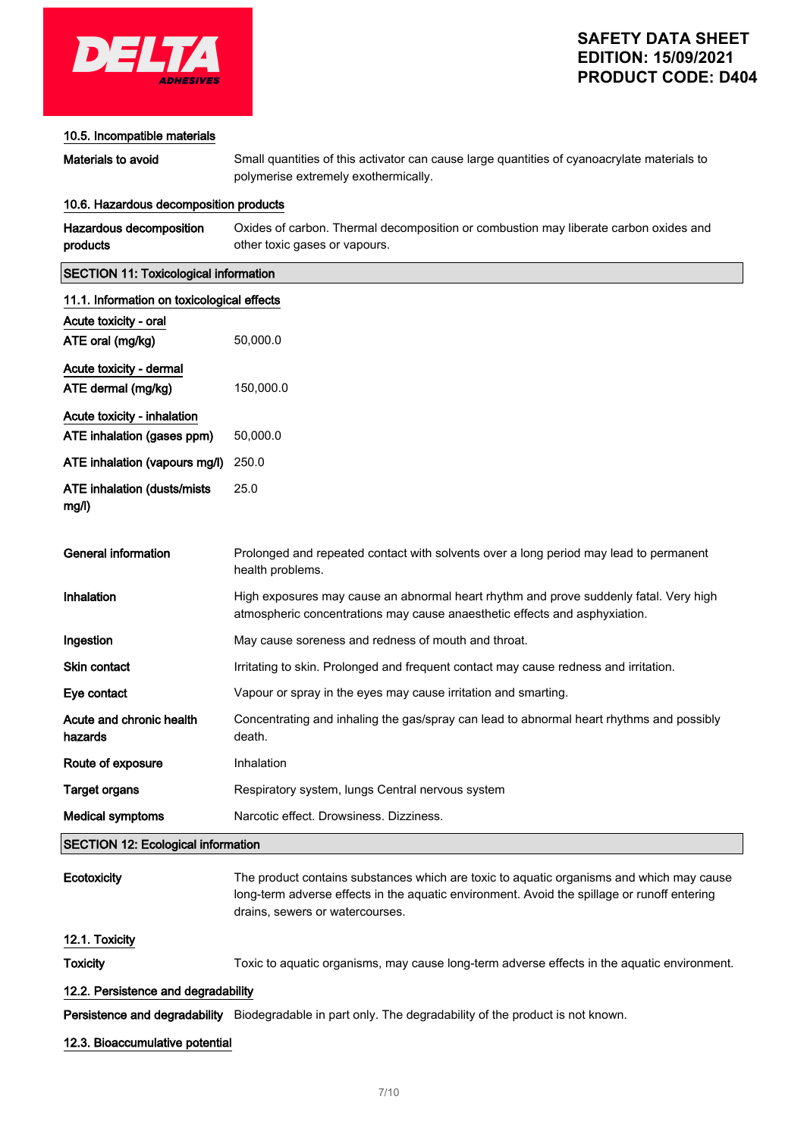

### 10.5. Incompatible materials

Materials to avoid Small quantities of this activator can cause large quantities of cyanoacrylate materials to polymerise extremely exothermically.

#### 10.6. Hazardous decomposition products

| Hazardous decomposition | Oxides of carbon. Thermal decomposition or combustion may liberate carbon oxides and |
|-------------------------|--------------------------------------------------------------------------------------|
| products                | other toxic gases or vapours.                                                        |

### SECTION 11: Toxicological information

| 11.1. Information on toxicological effects   |                                                                                                                                                                     |
|----------------------------------------------|---------------------------------------------------------------------------------------------------------------------------------------------------------------------|
| Acute toxicity - oral                        |                                                                                                                                                                     |
| ATE oral (mg/kg)                             | 50,000.0                                                                                                                                                            |
| Acute toxicity - dermal                      |                                                                                                                                                                     |
| ATE dermal (mg/kg)                           | 150,000.0                                                                                                                                                           |
| Acute toxicity - inhalation                  |                                                                                                                                                                     |
| ATE inhalation (gases ppm)                   | 50,000.0                                                                                                                                                            |
| ATE inhalation (vapours mg/l)                | 250.0                                                                                                                                                               |
| <b>ATE inhalation (dusts/mists)</b><br>mg/l) | 25.0                                                                                                                                                                |
| <b>General information</b>                   | Prolonged and repeated contact with solvents over a long period may lead to permanent<br>health problems.                                                           |
| Inhalation                                   | High exposures may cause an abnormal heart rhythm and prove suddenly fatal. Very high<br>atmospheric concentrations may cause anaesthetic effects and asphyxiation. |
| Ingestion                                    | May cause soreness and redness of mouth and throat.                                                                                                                 |
| Skin contact                                 | Irritating to skin. Prolonged and frequent contact may cause redness and irritation.                                                                                |
| Eye contact                                  | Vapour or spray in the eyes may cause irritation and smarting.                                                                                                      |
| Acute and chronic health<br>hazards          | Concentrating and inhaling the gas/spray can lead to abnormal heart rhythms and possibly<br>death.                                                                  |
| Route of exposure                            | Inhalation                                                                                                                                                          |
| <b>Target organs</b>                         | Respiratory system, lungs Central nervous system                                                                                                                    |
| <b>Medical symptoms</b>                      | Narcotic effect. Drowsiness. Dizziness.                                                                                                                             |
| <b>SECTION 12: Ecological information</b>    |                                                                                                                                                                     |

| Ecotoxicity                         | The product contains substances which are toxic to aguatic organisms and which may cause<br>long-term adverse effects in the aguatic environment. Avoid the spillage or runoff entering<br>drains, sewers or watercourses. |
|-------------------------------------|----------------------------------------------------------------------------------------------------------------------------------------------------------------------------------------------------------------------------|
| 12.1. Toxicity                      |                                                                                                                                                                                                                            |
| <b>Toxicity</b>                     | Toxic to aquatic organisms, may cause long-term adverse effects in the aquatic environment.                                                                                                                                |
| 12.2. Persistence and degradability |                                                                                                                                                                                                                            |

Persistence and degradability Biodegradable in part only. The degradability of the product is not known.

### 12.3. Bioaccumulative potential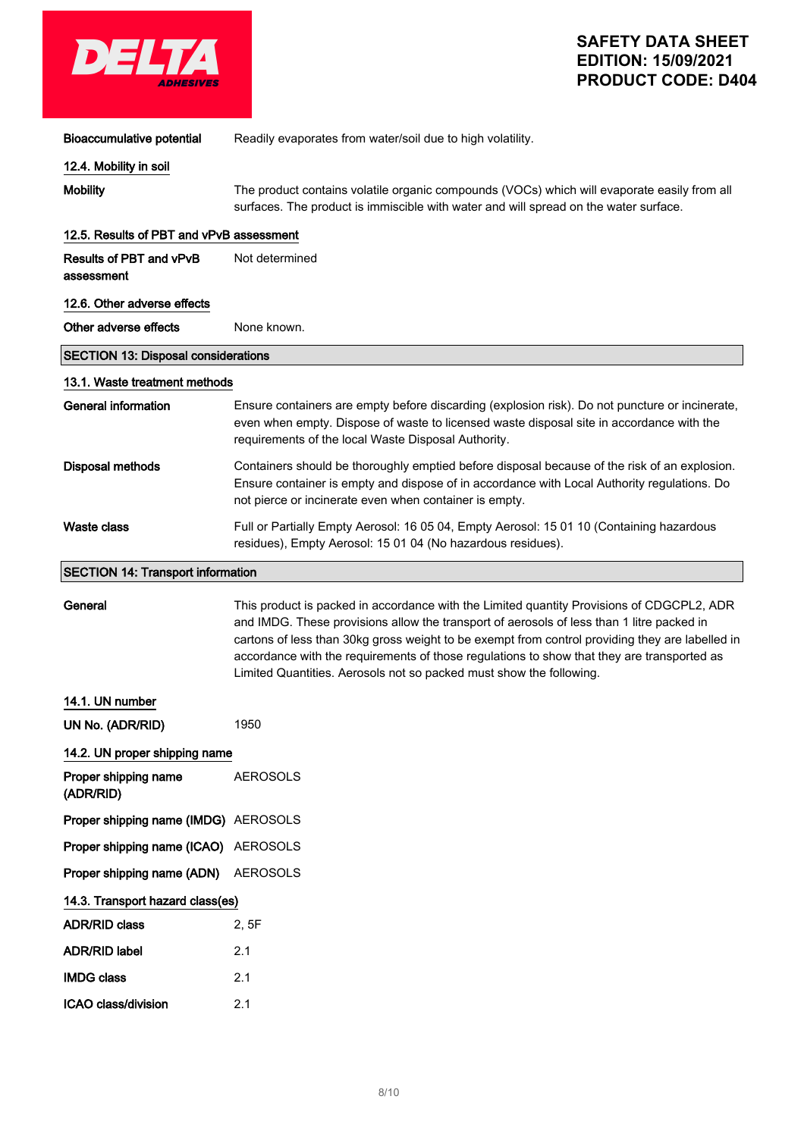

| <b>Bioaccumulative potential</b>             | Readily evaporates from water/soil due to high volatility.                                                                                                                                                                                                                                                                                                                                                                                                     |  |
|----------------------------------------------|----------------------------------------------------------------------------------------------------------------------------------------------------------------------------------------------------------------------------------------------------------------------------------------------------------------------------------------------------------------------------------------------------------------------------------------------------------------|--|
| 12.4. Mobility in soil                       |                                                                                                                                                                                                                                                                                                                                                                                                                                                                |  |
| <b>Mobility</b>                              | The product contains volatile organic compounds (VOCs) which will evaporate easily from all<br>surfaces. The product is immiscible with water and will spread on the water surface.                                                                                                                                                                                                                                                                            |  |
| 12.5. Results of PBT and vPvB assessment     |                                                                                                                                                                                                                                                                                                                                                                                                                                                                |  |
| <b>Results of PBT and vPvB</b><br>assessment | Not determined                                                                                                                                                                                                                                                                                                                                                                                                                                                 |  |
| 12.6. Other adverse effects                  |                                                                                                                                                                                                                                                                                                                                                                                                                                                                |  |
| Other adverse effects                        | None known.                                                                                                                                                                                                                                                                                                                                                                                                                                                    |  |
| <b>SECTION 13: Disposal considerations</b>   |                                                                                                                                                                                                                                                                                                                                                                                                                                                                |  |
| 13.1. Waste treatment methods                |                                                                                                                                                                                                                                                                                                                                                                                                                                                                |  |
| <b>General information</b>                   | Ensure containers are empty before discarding (explosion risk). Do not puncture or incinerate,<br>even when empty. Dispose of waste to licensed waste disposal site in accordance with the<br>requirements of the local Waste Disposal Authority.                                                                                                                                                                                                              |  |
| <b>Disposal methods</b>                      | Containers should be thoroughly emptied before disposal because of the risk of an explosion.<br>Ensure container is empty and dispose of in accordance with Local Authority regulations. Do<br>not pierce or incinerate even when container is empty.                                                                                                                                                                                                          |  |
| <b>Waste class</b>                           | Full or Partially Empty Aerosol: 16 05 04, Empty Aerosol: 15 01 10 (Containing hazardous<br>residues), Empty Aerosol: 15 01 04 (No hazardous residues).                                                                                                                                                                                                                                                                                                        |  |
| <b>SECTION 14: Transport information</b>     |                                                                                                                                                                                                                                                                                                                                                                                                                                                                |  |
| General                                      | This product is packed in accordance with the Limited quantity Provisions of CDGCPL2, ADR<br>and IMDG. These provisions allow the transport of aerosols of less than 1 litre packed in<br>cartons of less than 30kg gross weight to be exempt from control providing they are labelled in<br>accordance with the requirements of those regulations to show that they are transported as<br>Limited Quantities. Aerosols not so packed must show the following. |  |
| 14.1. UN number                              |                                                                                                                                                                                                                                                                                                                                                                                                                                                                |  |
| UN No. (ADR/RID)                             | 1950                                                                                                                                                                                                                                                                                                                                                                                                                                                           |  |
| 14.2. UN proper shipping name                |                                                                                                                                                                                                                                                                                                                                                                                                                                                                |  |
| Proper shipping name<br>(ADR/RID)            | <b>AEROSOLS</b>                                                                                                                                                                                                                                                                                                                                                                                                                                                |  |
| Proper shipping name (IMDG) AEROSOLS         |                                                                                                                                                                                                                                                                                                                                                                                                                                                                |  |
| Proper shipping name (ICAO) AEROSOLS         |                                                                                                                                                                                                                                                                                                                                                                                                                                                                |  |
| Proper shipping name (ADN)                   | <b>AEROSOLS</b>                                                                                                                                                                                                                                                                                                                                                                                                                                                |  |
| 14.3. Transport hazard class(es)             |                                                                                                                                                                                                                                                                                                                                                                                                                                                                |  |
| <b>ADR/RID class</b>                         | 2, 5F                                                                                                                                                                                                                                                                                                                                                                                                                                                          |  |
| <b>ADR/RID label</b>                         | 2.1                                                                                                                                                                                                                                                                                                                                                                                                                                                            |  |
| <b>IMDG class</b>                            | 2.1                                                                                                                                                                                                                                                                                                                                                                                                                                                            |  |
| ICAO class/division                          | 2.1                                                                                                                                                                                                                                                                                                                                                                                                                                                            |  |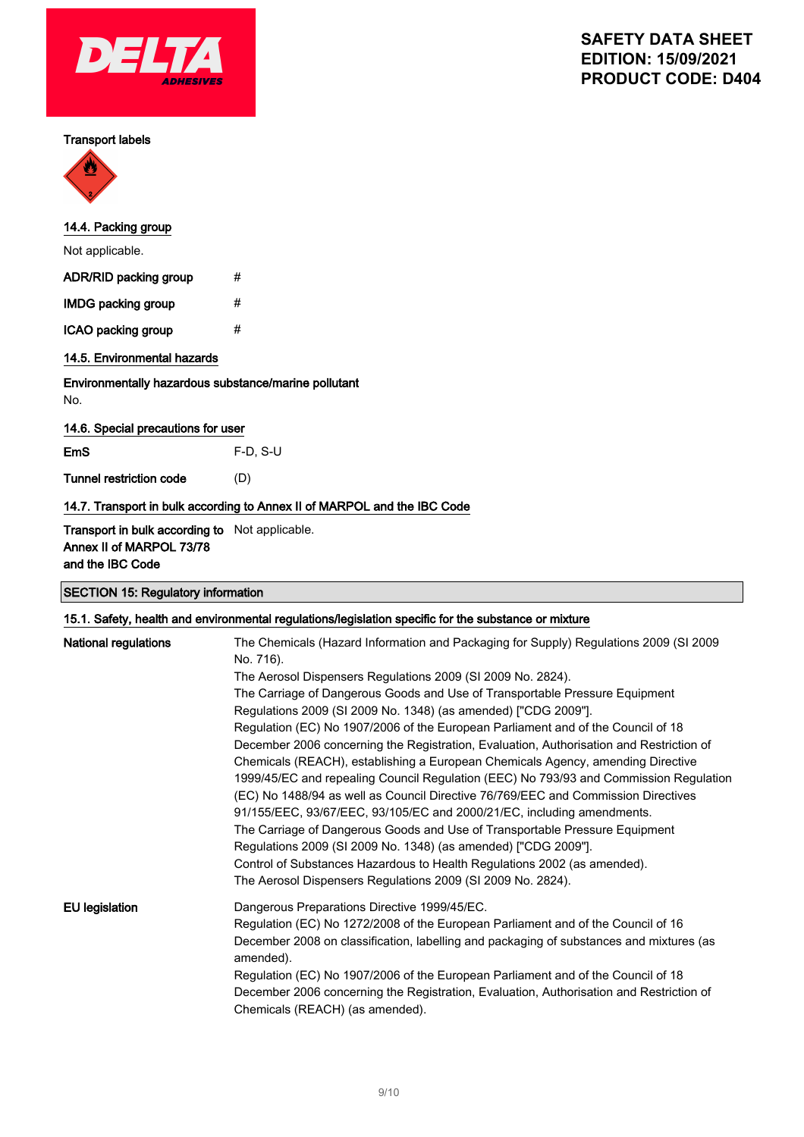

#### Transport labels



# 14.4. Packing group

Not applicable.

| ADR/RID packing group     | # |
|---------------------------|---|
| <b>IMDG packing group</b> | # |
| ICAO packing group        | # |

# 14.5. Environmental hazards

## Environmentally hazardous substance/marine pollutant

No.

### 14.6. Special precautions for user

EmS F-D, S-U

Tunnel restriction code (D)

### 14.7. Transport in bulk according to Annex II of MARPOL and the IBC Code

### Transport in bulk according to Not applicable. Annex II of MARPOL 73/78 and the IBC Code

### SECTION 15: Regulatory information

### 15.1. Safety, health and environmental regulations/legislation specific for the substance or mixture

| National regulations  | The Chemicals (Hazard Information and Packaging for Supply) Regulations 2009 (SI 2009<br>No. 716).<br>The Aerosol Dispensers Regulations 2009 (SI 2009 No. 2824).<br>The Carriage of Dangerous Goods and Use of Transportable Pressure Equipment<br>Regulations 2009 (SI 2009 No. 1348) (as amended) ["CDG 2009"].<br>Regulation (EC) No 1907/2006 of the European Parliament and of the Council of 18<br>December 2006 concerning the Registration, Evaluation, Authorisation and Restriction of<br>Chemicals (REACH), establishing a European Chemicals Agency, amending Directive<br>1999/45/EC and repealing Council Regulation (EEC) No 793/93 and Commission Regulation<br>(EC) No 1488/94 as well as Council Directive 76/769/EEC and Commission Directives<br>91/155/EEC, 93/67/EEC, 93/105/EC and 2000/21/EC, including amendments.<br>The Carriage of Dangerous Goods and Use of Transportable Pressure Equipment<br>Regulations 2009 (SI 2009 No. 1348) (as amended) ["CDG 2009"].<br>Control of Substances Hazardous to Health Regulations 2002 (as amended).<br>The Aerosol Dispensers Regulations 2009 (SI 2009 No. 2824). |
|-----------------------|------------------------------------------------------------------------------------------------------------------------------------------------------------------------------------------------------------------------------------------------------------------------------------------------------------------------------------------------------------------------------------------------------------------------------------------------------------------------------------------------------------------------------------------------------------------------------------------------------------------------------------------------------------------------------------------------------------------------------------------------------------------------------------------------------------------------------------------------------------------------------------------------------------------------------------------------------------------------------------------------------------------------------------------------------------------------------------------------------------------------------------------|
| <b>EU</b> legislation | Dangerous Preparations Directive 1999/45/EC.<br>Regulation (EC) No 1272/2008 of the European Parliament and of the Council of 16<br>December 2008 on classification, labelling and packaging of substances and mixtures (as<br>amended).<br>Regulation (EC) No 1907/2006 of the European Parliament and of the Council of 18<br>December 2006 concerning the Registration, Evaluation, Authorisation and Restriction of<br>Chemicals (REACH) (as amended).                                                                                                                                                                                                                                                                                                                                                                                                                                                                                                                                                                                                                                                                               |